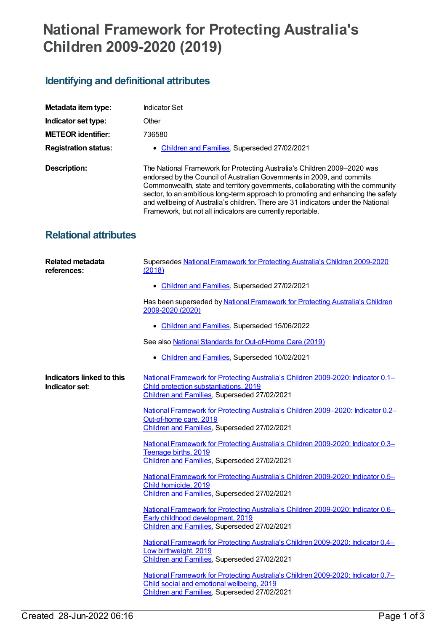## **National Framework for Protecting Australia's Children 2009-2020 (2019)**

## **Identifying and definitional attributes**

| Metadata item type:          | Indicator Set                                                                                                                                                                                                                                                                                                                                                                                                                                                                 |
|------------------------------|-------------------------------------------------------------------------------------------------------------------------------------------------------------------------------------------------------------------------------------------------------------------------------------------------------------------------------------------------------------------------------------------------------------------------------------------------------------------------------|
| Indicator set type:          | Other                                                                                                                                                                                                                                                                                                                                                                                                                                                                         |
| <b>METEOR identifier:</b>    | 736580                                                                                                                                                                                                                                                                                                                                                                                                                                                                        |
| <b>Registration status:</b>  | • Children and Families, Superseded 27/02/2021                                                                                                                                                                                                                                                                                                                                                                                                                                |
| Description:                 | The National Framework for Protecting Australia's Children 2009-2020 was<br>endorsed by the Council of Australian Governments in 2009, and commits<br>Commonwealth, state and territory governments, collaborating with the community<br>sector, to an ambitious long-term approach to promoting and enhancing the safety<br>and wellbeing of Australia's children. There are 31 indicators under the National<br>Framework, but not all indicators are currently reportable. |
| <b>Relational attributes</b> |                                                                                                                                                                                                                                                                                                                                                                                                                                                                               |

| <b>Related metadata</b><br>references:      | Supersedes National Framework for Protecting Australia's Children 2009-2020<br>(2018)                                                                                          |
|---------------------------------------------|--------------------------------------------------------------------------------------------------------------------------------------------------------------------------------|
|                                             | • Children and Families, Superseded 27/02/2021                                                                                                                                 |
|                                             | Has been superseded by National Framework for Protecting Australia's Children<br>2009-2020 (2020)                                                                              |
|                                             | • Children and Families, Superseded 15/06/2022                                                                                                                                 |
|                                             | See also National Standards for Out-of-Home Care (2019)                                                                                                                        |
|                                             | • Children and Families, Superseded 10/02/2021                                                                                                                                 |
| Indicators linked to this<br>Indicator set: | National Framework for Protecting Australia's Children 2009-2020: Indicator 0.1-<br>Child protection substantiations, 2019<br>Children and Families, Superseded 27/02/2021     |
|                                             | National Framework for Protecting Australia's Children 2009-2020: Indicator 0.2-<br>Out-of-home care, 2019<br>Children and Families, Superseded 27/02/2021                     |
|                                             | National Framework for Protecting Australia's Children 2009-2020: Indicator 0.3-<br>Teenage births, 2019<br>Children and Families, Superseded 27/02/2021                       |
|                                             | National Framework for Protecting Australia's Children 2009-2020: Indicator 0.5-<br>Child homicide, 2019<br>Children and Families, Superseded 27/02/2021                       |
|                                             | National Framework for Protecting Australia's Children 2009-2020: Indicator 0.6-<br>Early childhood development, 2019<br>Children and Families, Superseded 27/02/2021          |
|                                             | National Framework for Protecting Australia's Children 2009-2020: Indicator 0.4-<br>Low birthweight, 2019<br>Children and Families, Superseded 27/02/2021                      |
|                                             | National Framework for Protecting Australia's Children 2009-2020: Indicator 0.7-<br>Child social and emotional wellbeing, 2019<br>Children and Families, Superseded 27/02/2021 |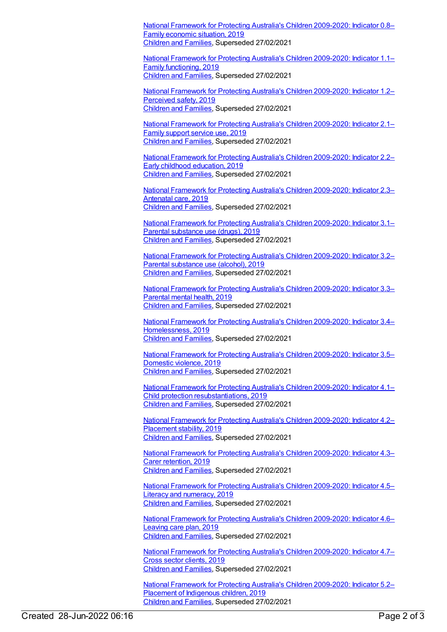National Framework for Protecting Australia's Children [2009-2020:](https://meteor.aihw.gov.au/content/737776) Indicator 0.8– Family economic situation, 2019 [Children](https://meteor.aihw.gov.au/RegistrationAuthority/17) and Families, Superseded 27/02/2021

National Framework for Protecting Australia's Children [2009-2020:](https://meteor.aihw.gov.au/content/737778) Indicator 1.1– Family functioning, 2019 [Children](https://meteor.aihw.gov.au/RegistrationAuthority/17) and Families, Superseded 27/02/2021

National Framework for Protecting Australia's Children [2009-2020:](https://meteor.aihw.gov.au/content/737780) Indicator 1.2– Perceived safety, 2019 [Children](https://meteor.aihw.gov.au/RegistrationAuthority/17) and Families, Superseded 27/02/2021

National Framework for Protecting Australia's Children [2009-2020:](https://meteor.aihw.gov.au/content/737782) Indicator 2.1– Family support service use, 2019 [Children](https://meteor.aihw.gov.au/RegistrationAuthority/17) and Families, Superseded 27/02/2021

National Framework for Protecting Australia's Children [2009-2020:](https://meteor.aihw.gov.au/content/737784) Indicator 2.2– Early childhood education, 2019 [Children](https://meteor.aihw.gov.au/RegistrationAuthority/17) and Families, Superseded 27/02/2021

National Framework for Protecting Australia's Children [2009-2020:](https://meteor.aihw.gov.au/content/737786) Indicator 2.3– Antenatal care, 2019 [Children](https://meteor.aihw.gov.au/RegistrationAuthority/17) and Families, Superseded 27/02/2021

National Framework for Protecting Australia's Children [2009-2020:](https://meteor.aihw.gov.au/content/709120) Indicator 3.1– Parental substance use (drugs), 2019 [Children](https://meteor.aihw.gov.au/RegistrationAuthority/17) and Families, Superseded 27/02/2021

National Framework for Protecting Australia's Children [2009-2020:](https://meteor.aihw.gov.au/content/737789) Indicator 3.2– Parental substance use (alcohol), 2019 [Children](https://meteor.aihw.gov.au/RegistrationAuthority/17) and Families, Superseded 27/02/2021

National Framework for Protecting Australia's Children [2009-2020:](https://meteor.aihw.gov.au/content/737791) Indicator 3.3– Parental mental health, 2019 [Children](https://meteor.aihw.gov.au/RegistrationAuthority/17) and Families, Superseded 27/02/2021

National Framework for Protecting Australia's Children 2009-2020: Indicator 3.4– [Homelessness,](https://meteor.aihw.gov.au/content/737795) 2019 [Children](https://meteor.aihw.gov.au/RegistrationAuthority/17) and Families, Superseded 27/02/2021

National Framework for Protecting Australia's Children [2009-2020:](https://meteor.aihw.gov.au/content/737798) Indicator 3.5– Domestic violence, 2019 [Children](https://meteor.aihw.gov.au/RegistrationAuthority/17) and Families, Superseded 27/02/2021

National Framework for Protecting Australia's Children 2009-2020: Indicator 4.1– Child protection [resubstantiations,](https://meteor.aihw.gov.au/content/737800) 2019 [Children](https://meteor.aihw.gov.au/RegistrationAuthority/17) and Families, Superseded 27/02/2021

National Framework for Protecting Australia's Children [2009-2020:](https://meteor.aihw.gov.au/content/737802) Indicator 4.2– Placement stability, 2019 [Children](https://meteor.aihw.gov.au/RegistrationAuthority/17) and Families, Superseded 27/02/2021

National Framework for Protecting Australia's Children [2009-2020:](https://meteor.aihw.gov.au/content/737804) Indicator 4.3– Carer retention, 2019 [Children](https://meteor.aihw.gov.au/RegistrationAuthority/17) and Families, Superseded 27/02/2021

National Framework for Protecting Australia's Children [2009-2020:](https://meteor.aihw.gov.au/content/737806) Indicator 4.5– Literacy and numeracy, 2019 [Children](https://meteor.aihw.gov.au/RegistrationAuthority/17) and Families, Superseded 27/02/2021

National Framework for Protecting Australia's Children [2009-2020:](https://meteor.aihw.gov.au/content/737808) Indicator 4.6– Leaving care plan, 2019 [Children](https://meteor.aihw.gov.au/RegistrationAuthority/17) and Families, Superseded 27/02/2021

National Framework for Protecting Australia's Children [2009-2020:](https://meteor.aihw.gov.au/content/737810) Indicator 4.7– Cross sector clients, 2019 [Children](https://meteor.aihw.gov.au/RegistrationAuthority/17) and Families, Superseded 27/02/2021

National Framework for Protecting Australia's Children [2009-2020:](https://meteor.aihw.gov.au/content/737812) Indicator 5.2– Placement of Indigenous children, 2019 [Children](https://meteor.aihw.gov.au/RegistrationAuthority/17) and Families, Superseded 27/02/2021